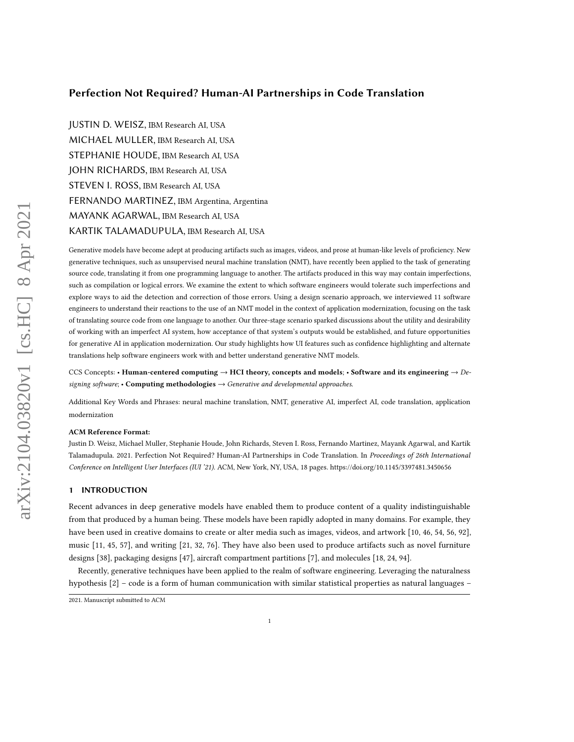## Perfection Not Required? Human-AI Partnerships in Code Translation

JUSTIN D. WEISZ, IBM Research AI, USA MICHAEL MULLER, IBM Research AI, USA STEPHANIE HOUDE, IBM Research AI, USA JOHN RICHARDS, IBM Research AI, USA STEVEN I. ROSS, IBM Research AI, USA FERNANDO MARTINEZ, IBM Argentina, Argentina MAYANK AGARWAL, IBM Research AI, USA KARTIK TALAMADUPULA, IBM Research AI, USA

Generative models have become adept at producing artifacts such as images, videos, and prose at human-like levels of proficiency. New generative techniques, such as unsupervised neural machine translation (NMT), have recently been applied to the task of generating source code, translating it from one programming language to another. The artifacts produced in this way may contain imperfections, such as compilation or logical errors. We examine the extent to which software engineers would tolerate such imperfections and explore ways to aid the detection and correction of those errors. Using a design scenario approach, we interviewed 11 software engineers to understand their reactions to the use of an NMT model in the context of application modernization, focusing on the task of translating source code from one language to another. Our three-stage scenario sparked discussions about the utility and desirability of working with an imperfect AI system, how acceptance of that system's outputs would be established, and future opportunities for generative AI in application modernization. Our study highlights how UI features such as confidence highlighting and alternate translations help software engineers work with and better understand generative NMT models.

CCS Concepts: • Human-centered computing  $\rightarrow$  HCI theory, concepts and models; • Software and its engineering  $\rightarrow$  Designing software; • Computing methodologies  $\rightarrow$  Generative and developmental approaches.

Additional Key Words and Phrases: neural machine translation, NMT, generative AI, imperfect AI, code translation, application modernization

#### ACM Reference Format:

Justin D. Weisz, Michael Muller, Stephanie Houde, John Richards, Steven I. Ross, Fernando Martinez, Mayank Agarwal, and Kartik Talamadupula. 2021. Perfection Not Required? Human-AI Partnerships in Code Translation. In Proceedings of 26th International Conference on Intelligent User Interfaces (IUI '21). ACM, New York, NY, USA, [18](#page-17-0) pages.<https://doi.org/10.1145/3397481.3450656>

## 1 INTRODUCTION

Recent advances in deep generative models have enabled them to produce content of a quality indistinguishable from that produced by a human being. These models have been rapidly adopted in many domains. For example, they have been used in creative domains to create or alter media such as images, videos, and artwork [\[10,](#page-14-0) [46,](#page-15-0) [54,](#page-15-1) [56,](#page-16-0) [92\]](#page-17-1), music [\[11,](#page-14-1) [45,](#page-15-2) [57\]](#page-16-1), and writing [\[21,](#page-14-2) [32,](#page-15-3) [76\]](#page-16-2). They have also been used to produce artifacts such as novel furniture designs [\[38\]](#page-15-4), packaging designs [\[47\]](#page-15-5), aircraft compartment partitions [\[7\]](#page-14-3), and molecules [\[18,](#page-14-4) [24,](#page-14-5) [94\]](#page-17-2).

Recently, generative techniques have been applied to the realm of software engineering. Leveraging the naturalness hypothesis [\[2\]](#page-14-6) – code is a form of human communication with similar statistical properties as natural languages –

<sup>2021.</sup> Manuscript submitted to ACM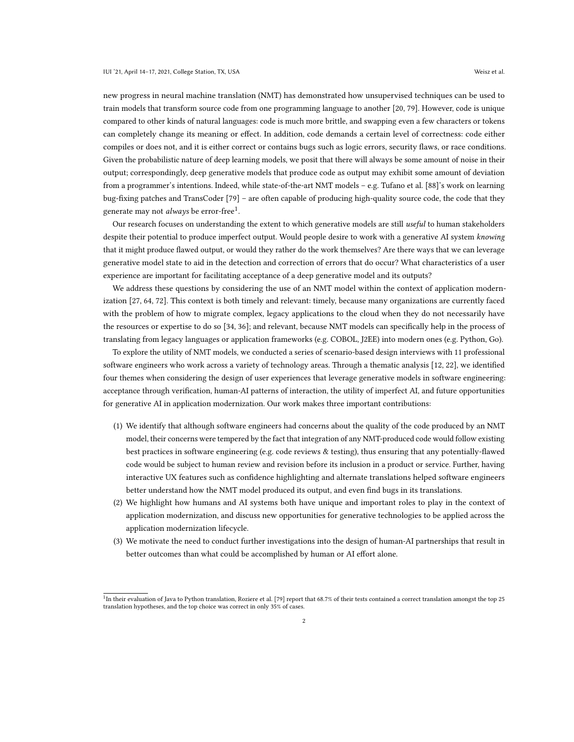new progress in neural machine translation (NMT) has demonstrated how unsupervised techniques can be used to train models that transform source code from one programming language to another [\[20,](#page-14-7) [79\]](#page-16-3). However, code is unique compared to other kinds of natural languages: code is much more brittle, and swapping even a few characters or tokens can completely change its meaning or effect. In addition, code demands a certain level of correctness: code either compiles or does not, and it is either correct or contains bugs such as logic errors, security flaws, or race conditions. Given the probabilistic nature of deep learning models, we posit that there will always be some amount of noise in their output; correspondingly, deep generative models that produce code as output may exhibit some amount of deviation from a programmer's intentions. Indeed, while state-of-the-art NMT models – e.g. Tufano et al. [\[88\]](#page-17-3)'s work on learning bug-fixing patches and TransCoder [\[79\]](#page-16-3) – are often capable of producing high-quality source code, the code that they generate may not *always* be error-free<sup>[1](#page-1-0)</sup>.

Our research focuses on understanding the extent to which generative models are still useful to human stakeholders despite their potential to produce imperfect output. Would people desire to work with a generative AI system knowing that it might produce flawed output, or would they rather do the work themselves? Are there ways that we can leverage generative model state to aid in the detection and correction of errors that do occur? What characteristics of a user experience are important for facilitating acceptance of a deep generative model and its outputs?

We address these questions by considering the use of an NMT model within the context of application modernization [\[27,](#page-14-8) [64,](#page-16-4) [72\]](#page-16-5). This context is both timely and relevant: timely, because many organizations are currently faced with the problem of how to migrate complex, legacy applications to the cloud when they do not necessarily have the resources or expertise to do so [\[34,](#page-15-6) [36\]](#page-15-7); and relevant, because NMT models can specifically help in the process of translating from legacy languages or application frameworks (e.g. COBOL, J2EE) into modern ones (e.g. Python, Go).

To explore the utility of NMT models, we conducted a series of scenario-based design interviews with 11 professional software engineers who work across a variety of technology areas. Through a thematic analysis [\[12,](#page-14-9) [22\]](#page-14-10), we identified four themes when considering the design of user experiences that leverage generative models in software engineering: acceptance through verification, human-AI patterns of interaction, the utility of imperfect AI, and future opportunities for generative AI in application modernization. Our work makes three important contributions:

- (1) We identify that although software engineers had concerns about the quality of the code produced by an NMT model, their concerns were tempered by the fact that integration of any NMT-produced code would follow existing best practices in software engineering (e.g. code reviews & testing), thus ensuring that any potentially-flawed code would be subject to human review and revision before its inclusion in a product or service. Further, having interactive UX features such as confidence highlighting and alternate translations helped software engineers better understand how the NMT model produced its output, and even find bugs in its translations.
- (2) We highlight how humans and AI systems both have unique and important roles to play in the context of application modernization, and discuss new opportunities for generative technologies to be applied across the application modernization lifecycle.
- (3) We motivate the need to conduct further investigations into the design of human-AI partnerships that result in better outcomes than what could be accomplished by human or AI effort alone.

<span id="page-1-0"></span><sup>&</sup>lt;sup>1</sup>In their evaluation of Java to Python translation, Roziere et al. [\[79\]](#page-16-3) report that 68.7% of their tests contained a correct translation amongst the top 25 translation hypotheses, and the top choice was correct in only 35% of cases.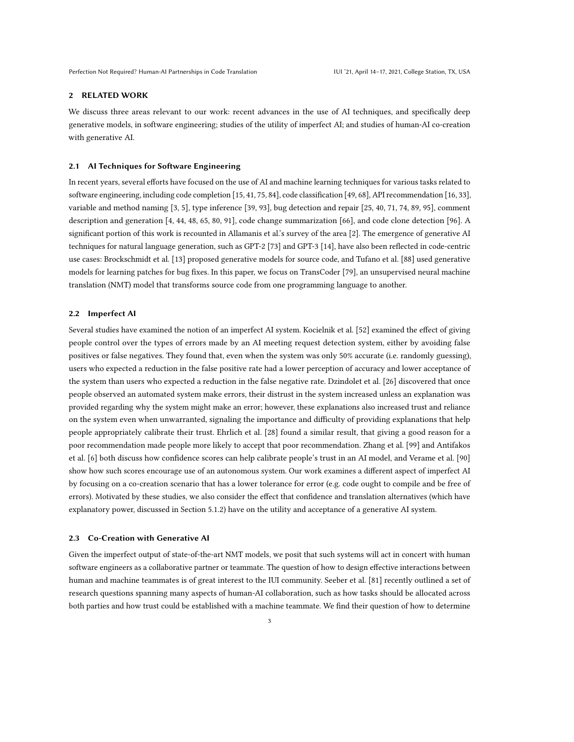## 2 RELATED WORK

We discuss three areas relevant to our work: recent advances in the use of AI techniques, and specifically deep generative models, in software engineering; studies of the utility of imperfect AI; and studies of human-AI co-creation with generative AI.

#### 2.1 AI Techniques for Software Engineering

In recent years, several efforts have focused on the use of AI and machine learning techniques for various tasks related to software engineering, including code completion [\[15,](#page-14-11) [41,](#page-15-8) [75,](#page-16-6) [84\]](#page-17-4), code classification [\[49,](#page-15-9) [68\]](#page-16-7), API recommendation [\[16,](#page-14-12) [33\]](#page-15-10), variable and method naming [\[3,](#page-14-13) [5\]](#page-14-14), type inference [\[39,](#page-15-11) [93\]](#page-17-5), bug detection and repair [\[25,](#page-14-15) [40,](#page-15-12) [71,](#page-16-8) [74,](#page-16-9) [89,](#page-17-6) [95\]](#page-17-7), comment description and generation [\[4,](#page-14-16) [44,](#page-15-13) [48,](#page-15-14) [65,](#page-16-10) [80,](#page-16-11) [91\]](#page-17-8), code change summarization [\[66\]](#page-16-12), and code clone detection [\[96\]](#page-17-9). A significant portion of this work is recounted in Allamanis et al.'s survey of the area [\[2\]](#page-14-6). The emergence of generative AI techniques for natural language generation, such as GPT-2 [\[73\]](#page-16-13) and GPT-3 [\[14\]](#page-14-17), have also been reflected in code-centric use cases: Brockschmidt et al. [\[13\]](#page-14-18) proposed generative models for source code, and Tufano et al. [\[88\]](#page-17-3) used generative models for learning patches for bug fixes. In this paper, we focus on TransCoder [\[79\]](#page-16-3), an unsupervised neural machine translation (NMT) model that transforms source code from one programming language to another.

## 2.2 Imperfect AI

Several studies have examined the notion of an imperfect AI system. Kocielnik et al. [\[52\]](#page-15-15) examined the effect of giving people control over the types of errors made by an AI meeting request detection system, either by avoiding false positives or false negatives. They found that, even when the system was only 50% accurate (i.e. randomly guessing), users who expected a reduction in the false positive rate had a lower perception of accuracy and lower acceptance of the system than users who expected a reduction in the false negative rate. Dzindolet et al. [\[26\]](#page-14-19) discovered that once people observed an automated system make errors, their distrust in the system increased unless an explanation was provided regarding why the system might make an error; however, these explanations also increased trust and reliance on the system even when unwarranted, signaling the importance and difficulty of providing explanations that help people appropriately calibrate their trust. Ehrlich et al. [\[28\]](#page-15-16) found a similar result, that giving a good reason for a poor recommendation made people more likely to accept that poor recommendation. Zhang et al. [\[99\]](#page-17-10) and Antifakos et al. [\[6\]](#page-14-20) both discuss how confidence scores can help calibrate people's trust in an AI model, and Verame et al. [\[90\]](#page-17-11) show how such scores encourage use of an autonomous system. Our work examines a different aspect of imperfect AI by focusing on a co-creation scenario that has a lower tolerance for error (e.g. code ought to compile and be free of errors). Motivated by these studies, we also consider the effect that confidence and translation alternatives (which have explanatory power, discussed in Section [5.1.2\)](#page-6-0) have on the utility and acceptance of a generative AI system.

#### 2.3 Co-Creation with Generative AI

Given the imperfect output of state-of-the-art NMT models, we posit that such systems will act in concert with human software engineers as a collaborative partner or teammate. The question of how to design effective interactions between human and machine teammates is of great interest to the IUI community. Seeber et al. [\[81\]](#page-16-14) recently outlined a set of research questions spanning many aspects of human-AI collaboration, such as how tasks should be allocated across both parties and how trust could be established with a machine teammate. We find their question of how to determine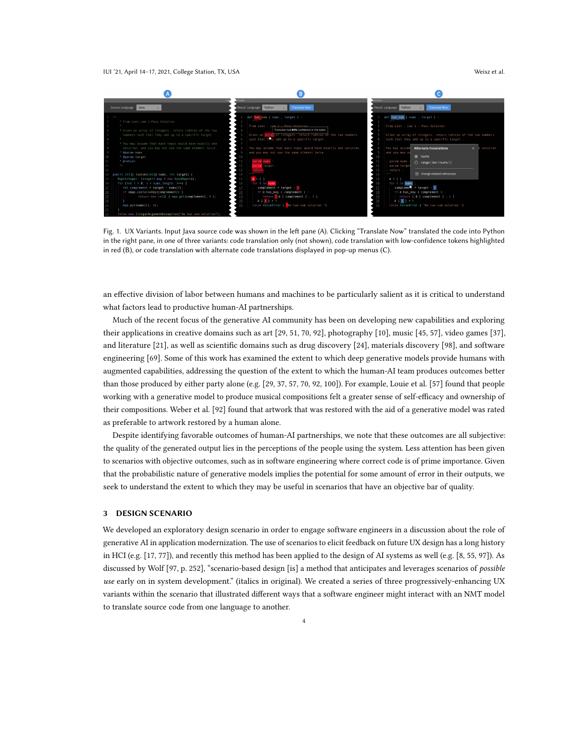#### IUI '21, April 14–17, 2021, College Station, TX, USA Weisz et al.

<span id="page-3-0"></span>

Fig. 1. UX Variants. Input Java source code was shown in the left pane (A). Clicking "Translate Now" translated the code into Python in the right pane, in one of three variants: code translation only (not shown), code translation with low-confidence tokens highlighted in red (B), or code translation with alternate code translations displayed in pop-up menus (C).

an effective division of labor between humans and machines to be particularly salient as it is critical to understand what factors lead to productive human-AI partnerships.

Much of the recent focus of the generative AI community has been on developing new capabilities and exploring their applications in creative domains such as art [\[29,](#page-15-17) [51,](#page-15-18) [70,](#page-16-15) [92\]](#page-17-1), photography [\[10\]](#page-14-0), music [\[45,](#page-15-2) [57\]](#page-16-1), video games [\[37\]](#page-15-19), and literature [\[21\]](#page-14-2), as well as scientific domains such as drug discovery [\[24\]](#page-14-5), materials discovery [\[98\]](#page-17-12), and software engineering [\[69\]](#page-16-16). Some of this work has examined the extent to which deep generative models provide humans with augmented capabilities, addressing the question of the extent to which the human-AI team produces outcomes better than those produced by either party alone (e.g. [\[29,](#page-15-17) [37,](#page-15-19) [57,](#page-16-1) [70,](#page-16-15) [92,](#page-17-1) [100\]](#page-17-13)). For example, Louie et al. [\[57\]](#page-16-1) found that people working with a generative model to produce musical compositions felt a greater sense of self-efficacy and ownership of their compositions. Weber et al. [\[92\]](#page-17-1) found that artwork that was restored with the aid of a generative model was rated as preferable to artwork restored by a human alone.

Despite identifying favorable outcomes of human-AI partnerships, we note that these outcomes are all subjective: the quality of the generated output lies in the perceptions of the people using the system. Less attention has been given to scenarios with objective outcomes, such as in software engineering where correct code is of prime importance. Given that the probabilistic nature of generative models implies the potential for some amount of error in their outputs, we seek to understand the extent to which they may be useful in scenarios that have an objective bar of quality.

#### 3 DESIGN SCENARIO

We developed an exploratory design scenario in order to engage software engineers in a discussion about the role of generative AI in application modernization. The use of scenarios to elicit feedback on future UX design has a long history in HCI (e.g. [\[17,](#page-14-21) [77\]](#page-16-17)), and recently this method has been applied to the design of AI systems as well (e.g. [\[8,](#page-14-22) [55,](#page-16-18) [97\]](#page-17-14)). As discussed by Wolf [\[97,](#page-17-14) p. 252], "scenario-based design [is] a method that anticipates and leverages scenarios of possible use early on in system development." (italics in original). We created a series of three progressively-enhancing UX variants within the scenario that illustrated different ways that a software engineer might interact with an NMT model to translate source code from one language to another.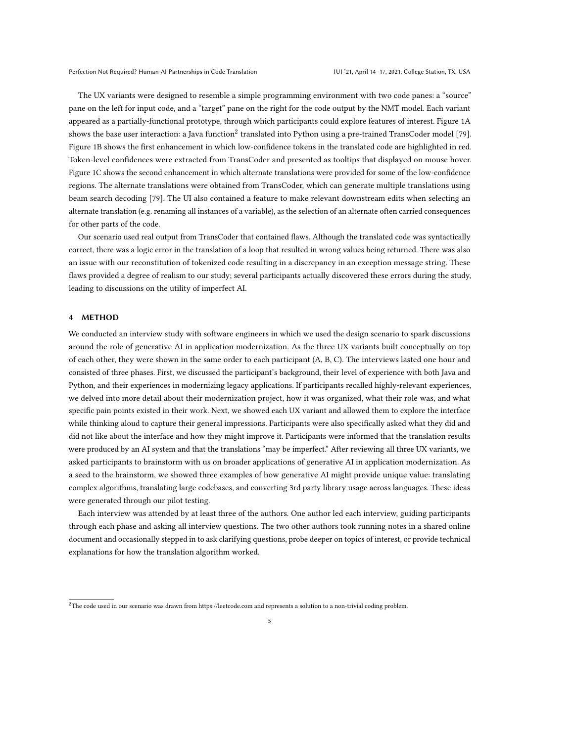The UX variants were designed to resemble a simple programming environment with two code panes: a "source" pane on the left for input code, and a "target" pane on the right for the code output by the NMT model. Each variant appeared as a partially-functional prototype, through which participants could explore features of interest. Figure [1A](#page-3-0) shows the base user interaction: a Java function $^2$  $^2$  translated into Python using a pre-trained TransCoder model [\[79\]](#page-16-3). Figure [1B](#page-3-0) shows the first enhancement in which low-confidence tokens in the translated code are highlighted in red. Token-level confidences were extracted from TransCoder and presented as tooltips that displayed on mouse hover. Figure [1C](#page-3-0) shows the second enhancement in which alternate translations were provided for some of the low-confidence regions. The alternate translations were obtained from TransCoder, which can generate multiple translations using beam search decoding [\[79\]](#page-16-3). The UI also contained a feature to make relevant downstream edits when selecting an alternate translation (e.g. renaming all instances of a variable), as the selection of an alternate often carried consequences for other parts of the code.

Our scenario used real output from TransCoder that contained flaws. Although the translated code was syntactically correct, there was a logic error in the translation of a loop that resulted in wrong values being returned. There was also an issue with our reconstitution of tokenized code resulting in a discrepancy in an exception message string. These flaws provided a degree of realism to our study; several participants actually discovered these errors during the study, leading to discussions on the utility of imperfect AI.

## 4 METHOD

We conducted an interview study with software engineers in which we used the design scenario to spark discussions around the role of generative AI in application modernization. As the three UX variants built conceptually on top of each other, they were shown in the same order to each participant (A, B, C). The interviews lasted one hour and consisted of three phases. First, we discussed the participant's background, their level of experience with both Java and Python, and their experiences in modernizing legacy applications. If participants recalled highly-relevant experiences, we delved into more detail about their modernization project, how it was organized, what their role was, and what specific pain points existed in their work. Next, we showed each UX variant and allowed them to explore the interface while thinking aloud to capture their general impressions. Participants were also specifically asked what they did and did not like about the interface and how they might improve it. Participants were informed that the translation results were produced by an AI system and that the translations "may be imperfect." After reviewing all three UX variants, we asked participants to brainstorm with us on broader applications of generative AI in application modernization. As a seed to the brainstorm, we showed three examples of how generative AI might provide unique value: translating complex algorithms, translating large codebases, and converting 3rd party library usage across languages. These ideas were generated through our pilot testing.

Each interview was attended by at least three of the authors. One author led each interview, guiding participants through each phase and asking all interview questions. The two other authors took running notes in a shared online document and occasionally stepped in to ask clarifying questions, probe deeper on topics of interest, or provide technical explanations for how the translation algorithm worked.

<span id="page-4-0"></span> $^{2}$ The code used in our scenario was drawn from<https://leetcode.com> and represents a solution to a non-trivial coding problem.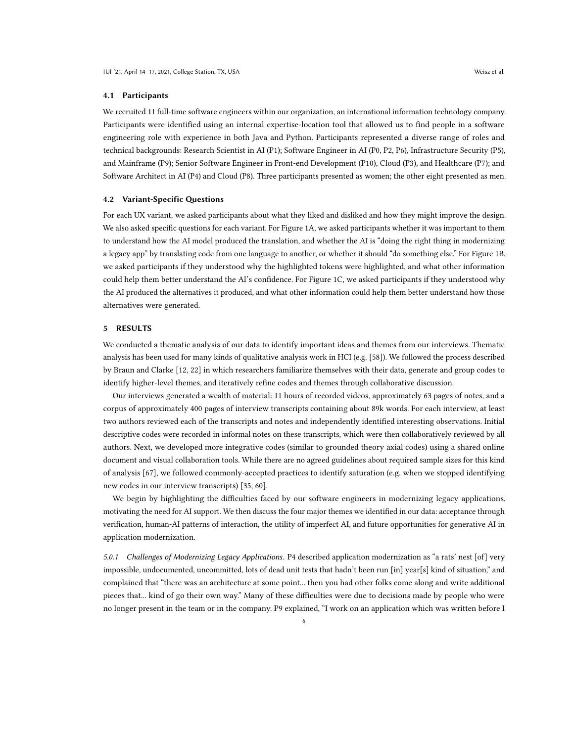#### 4.1 Participants

We recruited 11 full-time software engineers within our organization, an international information technology company. Participants were identified using an internal expertise-location tool that allowed us to find people in a software engineering role with experience in both Java and Python. Participants represented a diverse range of roles and technical backgrounds: Research Scientist in AI (P1); Software Engineer in AI (P0, P2, P6), Infrastructure Security (P5), and Mainframe (P9); Senior Software Engineer in Front-end Development (P10), Cloud (P3), and Healthcare (P7); and Software Architect in AI (P4) and Cloud (P8). Three participants presented as women; the other eight presented as men.

### 4.2 Variant-Specific Questions

For each UX variant, we asked participants about what they liked and disliked and how they might improve the design. We also asked specific questions for each variant. For Figure [1A](#page-3-0), we asked participants whether it was important to them to understand how the AI model produced the translation, and whether the AI is "doing the right thing in modernizing a legacy app" by translating code from one language to another, or whether it should "do something else." For Figure [1B](#page-3-0), we asked participants if they understood why the highlighted tokens were highlighted, and what other information could help them better understand the AI's confidence. For Figure [1C](#page-3-0), we asked participants if they understood why the AI produced the alternatives it produced, and what other information could help them better understand how those alternatives were generated.

## 5 RESULTS

We conducted a thematic analysis of our data to identify important ideas and themes from our interviews. Thematic analysis has been used for many kinds of qualitative analysis work in HCI (e.g. [\[58\]](#page-16-19)). We followed the process described by Braun and Clarke [\[12,](#page-14-9) [22\]](#page-14-10) in which researchers familiarize themselves with their data, generate and group codes to identify higher-level themes, and iteratively refine codes and themes through collaborative discussion.

Our interviews generated a wealth of material: 11 hours of recorded videos, approximately 63 pages of notes, and a corpus of approximately 400 pages of interview transcripts containing about 89k words. For each interview, at least two authors reviewed each of the transcripts and notes and independently identified interesting observations. Initial descriptive codes were recorded in informal notes on these transcripts, which were then collaboratively reviewed by all authors. Next, we developed more integrative codes (similar to grounded theory axial codes) using a shared online document and visual collaboration tools. While there are no agreed guidelines about required sample sizes for this kind of analysis [\[67\]](#page-16-20), we followed commonly-accepted practices to identify saturation (e.g. when we stopped identifying new codes in our interview transcripts) [\[35,](#page-15-20) [60\]](#page-16-21).

We begin by highlighting the difficulties faced by our software engineers in modernizing legacy applications, motivating the need for AI support. We then discuss the four major themes we identified in our data: acceptance through verification, human-AI patterns of interaction, the utility of imperfect AI, and future opportunities for generative AI in application modernization.

<span id="page-5-0"></span>5.0.1 Challenges of Modernizing Legacy Applications. P4 described application modernization as "a rats' nest [of] very impossible, undocumented, uncommitted, lots of dead unit tests that hadn't been run [in] year[s] kind of situation," and complained that "there was an architecture at some point... then you had other folks come along and write additional pieces that... kind of go their own way." Many of these difficulties were due to decisions made by people who were no longer present in the team or in the company. P9 explained, "I work on an application which was written before I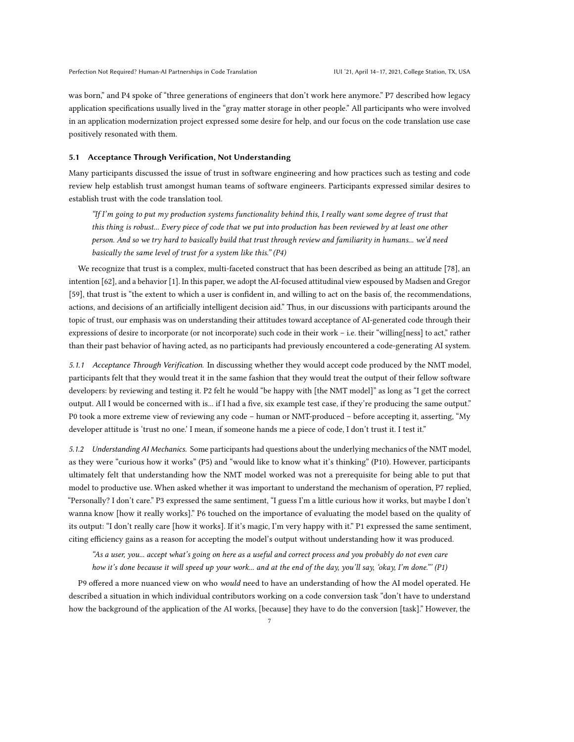was born," and P4 spoke of "three generations of engineers that don't work here anymore." P7 described how legacy application specifications usually lived in the "gray matter storage in other people." All participants who were involved in an application modernization project expressed some desire for help, and our focus on the code translation use case positively resonated with them.

#### 5.1 Acceptance Through Verification, Not Understanding

Many participants discussed the issue of trust in software engineering and how practices such as testing and code review help establish trust amongst human teams of software engineers. Participants expressed similar desires to establish trust with the code translation tool.

"If I'm going to put my production systems functionality behind this, I really want some degree of trust that this thing is robust... Every piece of code that we put into production has been reviewed by at least one other person. And so we try hard to basically build that trust through review and familiarity in humans... we'd need basically the same level of trust for a system like this." (P4)

We recognize that trust is a complex, multi-faceted construct that has been described as being an attitude [\[78\]](#page-16-22), an intention [\[62\]](#page-16-23), and a behavior [\[1\]](#page-14-23). In this paper, we adopt the AI-focused attitudinal view espoused by Madsen and Gregor [\[59\]](#page-16-24), that trust is "the extent to which a user is confident in, and willing to act on the basis of, the recommendations, actions, and decisions of an artificially intelligent decision aid." Thus, in our discussions with participants around the topic of trust, our emphasis was on understanding their attitudes toward acceptance of AI-generated code through their expressions of desire to incorporate (or not incorporate) such code in their work – i.e. their "willing[ness] to act," rather than their past behavior of having acted, as no participants had previously encountered a code-generating AI system.

<span id="page-6-1"></span>5.1.1 Acceptance Through Verification. In discussing whether they would accept code produced by the NMT model, participants felt that they would treat it in the same fashion that they would treat the output of their fellow software developers: by reviewing and testing it. P2 felt he would "be happy with [the NMT model]" as long as "I get the correct output. All I would be concerned with is... if I had a five, six example test case, if they're producing the same output." P0 took a more extreme view of reviewing any code – human or NMT-produced – before accepting it, asserting, "My developer attitude is 'trust no one.' I mean, if someone hands me a piece of code, I don't trust it. I test it."

<span id="page-6-0"></span>5.1.2 Understanding AI Mechanics. Some participants had questions about the underlying mechanics of the NMT model, as they were "curious how it works" (P5) and "would like to know what it's thinking" (P10). However, participants ultimately felt that understanding how the NMT model worked was not a prerequisite for being able to put that model to productive use. When asked whether it was important to understand the mechanism of operation, P7 replied, "Personally? I don't care." P3 expressed the same sentiment, "I guess I'm a little curious how it works, but maybe I don't wanna know [how it really works]." P6 touched on the importance of evaluating the model based on the quality of its output: "I don't really care [how it works]. If it's magic, I'm very happy with it." P1 expressed the same sentiment, citing efficiency gains as a reason for accepting the model's output without understanding how it was produced.

"As a user, you... accept what's going on here as a useful and correct process and you probably do not even care how it's done because it will speed up your work... and at the end of the day, you'll say, 'okay, I'm done."' (P1)

P9 offered a more nuanced view on who would need to have an understanding of how the AI model operated. He described a situation in which individual contributors working on a code conversion task "don't have to understand how the background of the application of the AI works, [because] they have to do the conversion [task]." However, the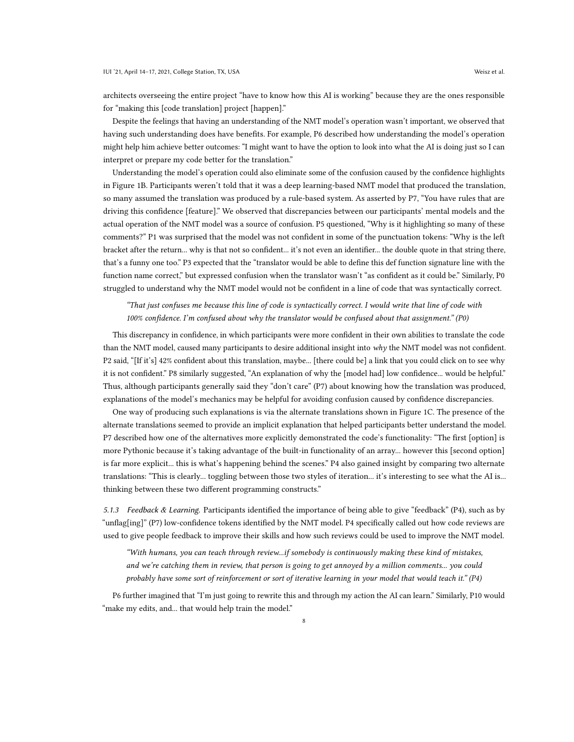architects overseeing the entire project "have to know how this AI is working" because they are the ones responsible for "making this [code translation] project [happen]."

Despite the feelings that having an understanding of the NMT model's operation wasn't important, we observed that having such understanding does have benefits. For example, P6 described how understanding the model's operation might help him achieve better outcomes: "I might want to have the option to look into what the AI is doing just so I can interpret or prepare my code better for the translation."

Understanding the model's operation could also eliminate some of the confusion caused by the confidence highlights in Figure [1B](#page-3-0). Participants weren't told that it was a deep learning-based NMT model that produced the translation, so many assumed the translation was produced by a rule-based system. As asserted by P7, "You have rules that are driving this confidence [feature]." We observed that discrepancies between our participants' mental models and the actual operation of the NMT model was a source of confusion. P5 questioned, "Why is it highlighting so many of these comments?" P1 was surprised that the model was not confident in some of the punctuation tokens: "Why is the left bracket after the return... why is that not so confident... it's not even an identifier... the double quote in that string there, that's a funny one too." P3 expected that the "translator would be able to define this def function signature line with the function name correct," but expressed confusion when the translator wasn't "as confident as it could be." Similarly, P0 struggled to understand why the NMT model would not be confident in a line of code that was syntactically correct.

"That just confuses me because this line of code is syntactically correct. I would write that line of code with 100% confidence. I'm confused about why the translator would be confused about that assignment." (P0)

This discrepancy in confidence, in which participants were more confident in their own abilities to translate the code than the NMT model, caused many participants to desire additional insight into why the NMT model was not confident. P2 said, "[If it's] 42% confident about this translation, maybe... [there could be] a link that you could click on to see why it is not confident." P8 similarly suggested, "An explanation of why the [model had] low confidence... would be helpful." Thus, although participants generally said they "don't care" (P7) about knowing how the translation was produced, explanations of the model's mechanics may be helpful for avoiding confusion caused by confidence discrepancies.

One way of producing such explanations is via the alternate translations shown in Figure [1C](#page-3-0). The presence of the alternate translations seemed to provide an implicit explanation that helped participants better understand the model. P7 described how one of the alternatives more explicitly demonstrated the code's functionality: "The first [option] is more Pythonic because it's taking advantage of the built-in functionality of an array... however this [second option] is far more explicit... this is what's happening behind the scenes." P4 also gained insight by comparing two alternate translations: "This is clearly... toggling between those two styles of iteration... it's interesting to see what the AI is... thinking between these two different programming constructs."

5.1.3 Feedback & Learning. Participants identified the importance of being able to give "feedback" (P4), such as by "unflag[ing]" (P7) low-confidence tokens identified by the NMT model. P4 specifically called out how code reviews are used to give people feedback to improve their skills and how such reviews could be used to improve the NMT model.

"With humans, you can teach through review...if somebody is continuously making these kind of mistakes, and we're catching them in review, that person is going to get annoyed by a million comments... you could probably have some sort of reinforcement or sort of iterative learning in your model that would teach it." (P4)

P6 further imagined that "I'm just going to rewrite this and through my action the AI can learn." Similarly, P10 would "make my edits, and... that would help train the model."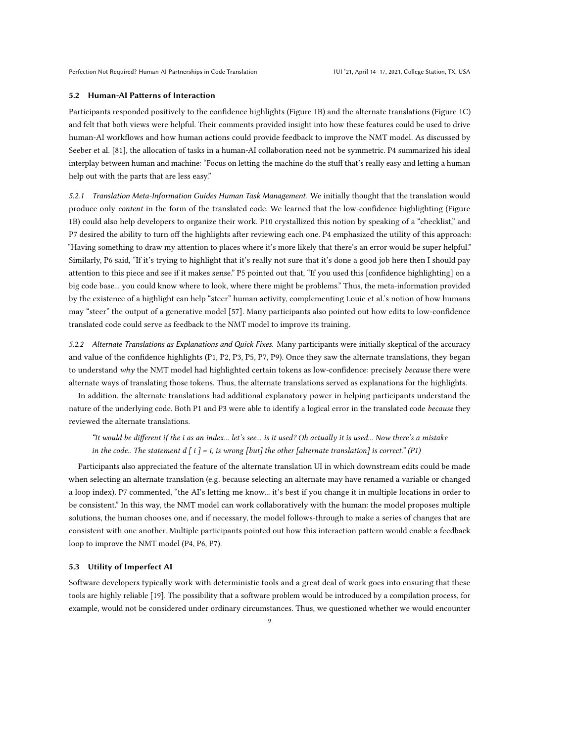#### 5.2 Human-AI Patterns of Interaction

Participants responded positively to the confidence highlights (Figure [1B](#page-3-0)) and the alternate translations (Figure [1C](#page-3-0)) and felt that both views were helpful. Their comments provided insight into how these features could be used to drive human-AI workflows and how human actions could provide feedback to improve the NMT model. As discussed by Seeber et al. [\[81\]](#page-16-14), the allocation of tasks in a human-AI collaboration need not be symmetric. P4 summarized his ideal interplay between human and machine: "Focus on letting the machine do the stuff that's really easy and letting a human help out with the parts that are less easy."

5.2.1 Translation Meta-Information Guides Human Task Management. We initially thought that the translation would produce only content in the form of the translated code. We learned that the low-confidence highlighting (Figure [1B](#page-3-0)) could also help developers to organize their work. P10 crystallized this notion by speaking of a "checklist," and P7 desired the ability to turn off the highlights after reviewing each one. P4 emphasized the utility of this approach: "Having something to draw my attention to places where it's more likely that there's an error would be super helpful." Similarly, P6 said, "If it's trying to highlight that it's really not sure that it's done a good job here then I should pay attention to this piece and see if it makes sense." P5 pointed out that, "If you used this [confidence highlighting] on a big code base... you could know where to look, where there might be problems." Thus, the meta-information provided by the existence of a highlight can help "steer" human activity, complementing Louie et al.'s notion of how humans may "steer" the output of a generative model [\[57\]](#page-16-1). Many participants also pointed out how edits to low-confidence translated code could serve as feedback to the NMT model to improve its training.

5.2.2 Alternate Translations as Explanations and Quick Fixes. Many participants were initially skeptical of the accuracy and value of the confidence highlights (P1, P2, P3, P5, P7, P9). Once they saw the alternate translations, they began to understand why the NMT model had highlighted certain tokens as low-confidence: precisely because there were alternate ways of translating those tokens. Thus, the alternate translations served as explanations for the highlights.

In addition, the alternate translations had additional explanatory power in helping participants understand the nature of the underlying code. Both P1 and P3 were able to identify a logical error in the translated code because they reviewed the alternate translations.

# "It would be different if the i as an index... let's see... is it used? Oh actually it is used... Now there's a mistake in the code.. The statement  $d[i] = i$ , is wrong [but] the other [alternate translation] is correct." (P1)

Participants also appreciated the feature of the alternate translation UI in which downstream edits could be made when selecting an alternate translation (e.g. because selecting an alternate may have renamed a variable or changed a loop index). P7 commented, "the AI's letting me know... it's best if you change it in multiple locations in order to be consistent." In this way, the NMT model can work collaboratively with the human: the model proposes multiple solutions, the human chooses one, and if necessary, the model follows-through to make a series of changes that are consistent with one another. Multiple participants pointed out how this interaction pattern would enable a feedback loop to improve the NMT model (P4, P6, P7).

## 5.3 Utility of Imperfect AI

Software developers typically work with deterministic tools and a great deal of work goes into ensuring that these tools are highly reliable [\[19\]](#page-14-24). The possibility that a software problem would be introduced by a compilation process, for example, would not be considered under ordinary circumstances. Thus, we questioned whether we would encounter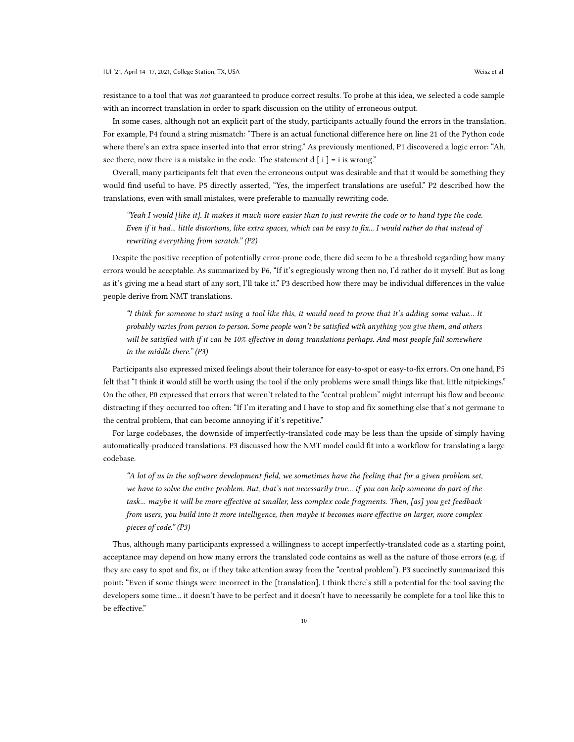resistance to a tool that was *not* guaranteed to produce correct results. To probe at this idea, we selected a code sample with an incorrect translation in order to spark discussion on the utility of erroneous output.

In some cases, although not an explicit part of the study, participants actually found the errors in the translation. For example, P4 found a string mismatch: "There is an actual functional difference here on line 21 of the Python code where there's an extra space inserted into that error string." As previously mentioned, P1 discovered a logic error: "Ah, see there, now there is a mistake in the code. The statement  $d[i] = i$  is wrong."

Overall, many participants felt that even the erroneous output was desirable and that it would be something they would find useful to have. P5 directly asserted, "Yes, the imperfect translations are useful." P2 described how the translations, even with small mistakes, were preferable to manually rewriting code.

"Yeah I would [like it]. It makes it much more easier than to just rewrite the code or to hand type the code. Even if it had... little distortions, like extra spaces, which can be easy to fix... I would rather do that instead of rewriting everything from scratch." (P2)

Despite the positive reception of potentially error-prone code, there did seem to be a threshold regarding how many errors would be acceptable. As summarized by P6, "If it's egregiously wrong then no, I'd rather do it myself. But as long as it's giving me a head start of any sort, I'll take it." P3 described how there may be individual differences in the value people derive from NMT translations.

"I think for someone to start using a tool like this, it would need to prove that it's adding some value... It probably varies from person to person. Some people won't be satisfied with anything you give them, and others will be satisfied with if it can be 10% effective in doing translations perhaps. And most people fall somewhere in the middle there." (P3)

Participants also expressed mixed feelings about their tolerance for easy-to-spot or easy-to-fix errors. On one hand, P5 felt that "I think it would still be worth using the tool if the only problems were small things like that, little nitpickings." On the other, P0 expressed that errors that weren't related to the "central problem" might interrupt his flow and become distracting if they occurred too often: "If I'm iterating and I have to stop and fix something else that's not germane to the central problem, that can become annoying if it's repetitive."

For large codebases, the downside of imperfectly-translated code may be less than the upside of simply having automatically-produced translations. P3 discussed how the NMT model could fit into a workflow for translating a large codebase.

"A lot of us in the software development field, we sometimes have the feeling that for a given problem set, we have to solve the entire problem. But, that's not necessarily true... if you can help someone do part of the task... maybe it will be more effective at smaller, less complex code fragments. Then, [as] you get feedback from users, you build into it more intelligence, then maybe it becomes more effective on larger, more complex pieces of code." (P3)

Thus, although many participants expressed a willingness to accept imperfectly-translated code as a starting point, acceptance may depend on how many errors the translated code contains as well as the nature of those errors (e.g. if they are easy to spot and fix, or if they take attention away from the "central problem"). P3 succinctly summarized this point: "Even if some things were incorrect in the [translation], I think there's still a potential for the tool saving the developers some time... it doesn't have to be perfect and it doesn't have to necessarily be complete for a tool like this to be effective."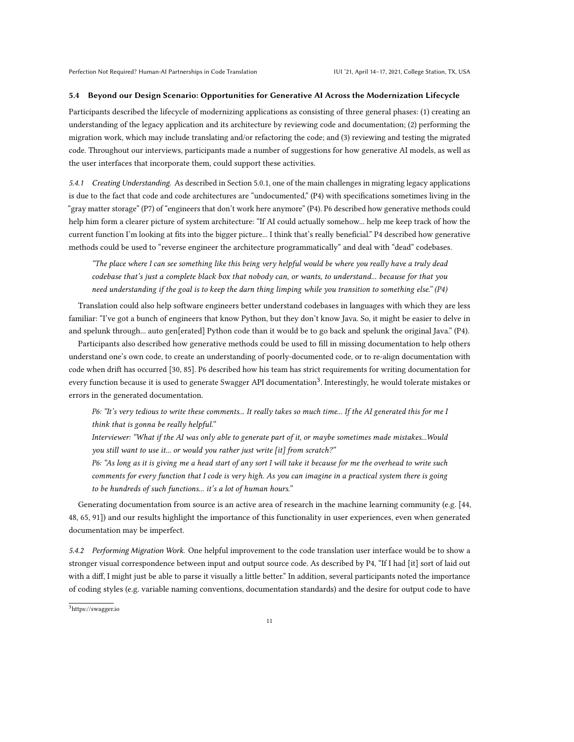#### 5.4 Beyond our Design Scenario: Opportunities for Generative AI Across the Modernization Lifecycle

Participants described the lifecycle of modernizing applications as consisting of three general phases: (1) creating an understanding of the legacy application and its architecture by reviewing code and documentation; (2) performing the migration work, which may include translating and/or refactoring the code; and (3) reviewing and testing the migrated code. Throughout our interviews, participants made a number of suggestions for how generative AI models, as well as the user interfaces that incorporate them, could support these activities.

5.4.1 Creating Understanding. As described in Section [5.0.1,](#page-5-0) one of the main challenges in migrating legacy applications is due to the fact that code and code architectures are "undocumented," (P4) with specifications sometimes living in the "gray matter storage" (P7) of "engineers that don't work here anymore" (P4). P6 described how generative methods could help him form a clearer picture of system architecture: "If AI could actually somehow... help me keep track of how the current function I'm looking at fits into the bigger picture... I think that's really beneficial." P4 described how generative methods could be used to "reverse engineer the architecture programmatically" and deal with "dead" codebases.

"The place where I can see something like this being very helpful would be where you really have a truly dead codebase that's just a complete black box that nobody can, or wants, to understand... because for that you need understanding if the goal is to keep the darn thing limping while you transition to something else." (P4)

Translation could also help software engineers better understand codebases in languages with which they are less familiar: "I've got a bunch of engineers that know Python, but they don't know Java. So, it might be easier to delve in and spelunk through... auto gen[erated] Python code than it would be to go back and spelunk the original Java." (P4).

Participants also described how generative methods could be used to fill in missing documentation to help others understand one's own code, to create an understanding of poorly-documented code, or to re-align documentation with code when drift has occurred [\[30,](#page-15-21) [85\]](#page-17-15). P6 described how his team has strict requirements for writing documentation for every function because it is used to generate Swagger API documentation<sup>[3](#page-10-0)</sup>. Interestingly, he would tolerate mistakes or errors in the generated documentation.

P6: "It's very tedious to write these comments... It really takes so much time... If the AI generated this for me I think that is gonna be really helpful."

Interviewer: "What if the AI was only able to generate part of it, or maybe sometimes made mistakes...Would you still want to use it... or would you rather just write [it] from scratch?"

P6: "As long as it is giving me a head start of any sort I will take it because for me the overhead to write such comments for every function that I code is very high. As you can imagine in a practical system there is going to be hundreds of such functions... it's a lot of human hours."

Generating documentation from source is an active area of research in the machine learning community (e.g. [\[44,](#page-15-13) [48,](#page-15-14) [65,](#page-16-10) [91\]](#page-17-8)) and our results highlight the importance of this functionality in user experiences, even when generated documentation may be imperfect.

5.4.2 Performing Migration Work. One helpful improvement to the code translation user interface would be to show a stronger visual correspondence between input and output source code. As described by P4, "If I had [it] sort of laid out with a diff, I might just be able to parse it visually a little better." In addition, several participants noted the importance of coding styles (e.g. variable naming conventions, documentation standards) and the desire for output code to have

<span id="page-10-0"></span><sup>3</sup>https://swagger.io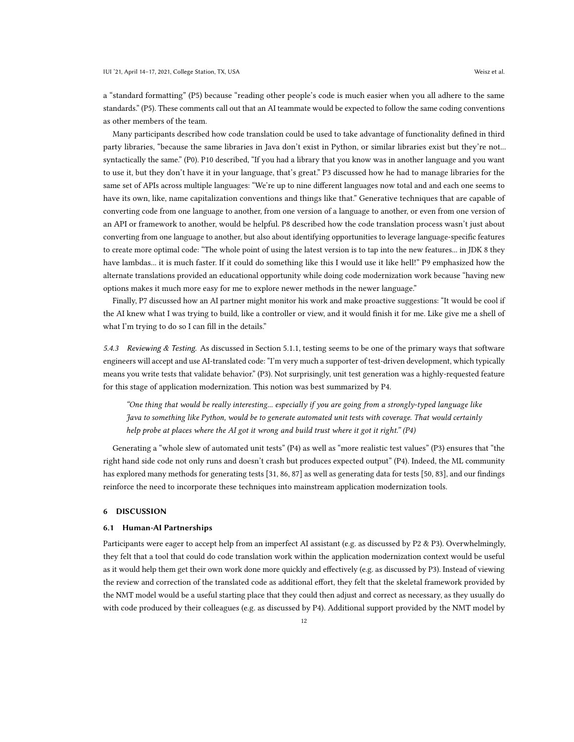a "standard formatting" (P5) because "reading other people's code is much easier when you all adhere to the same standards." (P5). These comments call out that an AI teammate would be expected to follow the same coding conventions as other members of the team.

Many participants described how code translation could be used to take advantage of functionality defined in third party libraries, "because the same libraries in Java don't exist in Python, or similar libraries exist but they're not... syntactically the same." (P0). P10 described, "If you had a library that you know was in another language and you want to use it, but they don't have it in your language, that's great." P3 discussed how he had to manage libraries for the same set of APIs across multiple languages: "We're up to nine different languages now total and and each one seems to have its own, like, name capitalization conventions and things like that." Generative techniques that are capable of converting code from one language to another, from one version of a language to another, or even from one version of an API or framework to another, would be helpful. P8 described how the code translation process wasn't just about converting from one language to another, but also about identifying opportunities to leverage language-specific features to create more optimal code: "The whole point of using the latest version is to tap into the new features... in JDK 8 they have lambdas... it is much faster. If it could do something like this I would use it like hell!" P9 emphasized how the alternate translations provided an educational opportunity while doing code modernization work because "having new options makes it much more easy for me to explore newer methods in the newer language."

Finally, P7 discussed how an AI partner might monitor his work and make proactive suggestions: "It would be cool if the AI knew what I was trying to build, like a controller or view, and it would finish it for me. Like give me a shell of what I'm trying to do so I can fill in the details."

5.4.3 Reviewing & Testing. As discussed in Section [5.1.1,](#page-6-1) testing seems to be one of the primary ways that software engineers will accept and use AI-translated code: "I'm very much a supporter of test-driven development, which typically means you write tests that validate behavior." (P3). Not surprisingly, unit test generation was a highly-requested feature for this stage of application modernization. This notion was best summarized by P4.

"One thing that would be really interesting... especially if you are going from a strongly-typed language like Java to something like Python, would be to generate automated unit tests with coverage. That would certainly help probe at places where the AI got it wrong and build trust where it got it right." (P4)

Generating a "whole slew of automated unit tests" (P4) as well as "more realistic test values" (P3) ensures that "the right hand side code not only runs and doesn't crash but produces expected output" (P4). Indeed, the ML community has explored many methods for generating tests [\[31,](#page-15-22) [86,](#page-17-16) [87\]](#page-17-17) as well as generating data for tests [\[50,](#page-15-23) [83\]](#page-17-18), and our findings reinforce the need to incorporate these techniques into mainstream application modernization tools.

#### 6 DISCUSSION

#### 6.1 Human-AI Partnerships

Participants were eager to accept help from an imperfect AI assistant (e.g. as discussed by P2 & P3). Overwhelmingly, they felt that a tool that could do code translation work within the application modernization context would be useful as it would help them get their own work done more quickly and effectively (e.g. as discussed by P3). Instead of viewing the review and correction of the translated code as additional effort, they felt that the skeletal framework provided by the NMT model would be a useful starting place that they could then adjust and correct as necessary, as they usually do with code produced by their colleagues (e.g. as discussed by P4). Additional support provided by the NMT model by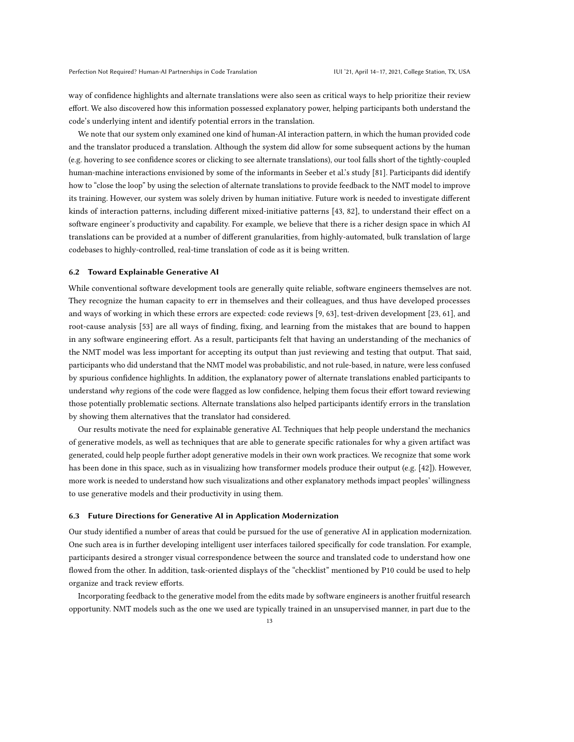way of confidence highlights and alternate translations were also seen as critical ways to help prioritize their review effort. We also discovered how this information possessed explanatory power, helping participants both understand the code's underlying intent and identify potential errors in the translation.

We note that our system only examined one kind of human-AI interaction pattern, in which the human provided code and the translator produced a translation. Although the system did allow for some subsequent actions by the human (e.g. hovering to see confidence scores or clicking to see alternate translations), our tool falls short of the tightly-coupled human-machine interactions envisioned by some of the informants in Seeber et al.'s study [\[81\]](#page-16-14). Participants did identify how to "close the loop" by using the selection of alternate translations to provide feedback to the NMT model to improve its training. However, our system was solely driven by human initiative. Future work is needed to investigate different kinds of interaction patterns, including different mixed-initiative patterns [\[43,](#page-15-24) [82\]](#page-16-25), to understand their effect on a software engineer's productivity and capability. For example, we believe that there is a richer design space in which AI translations can be provided at a number of different granularities, from highly-automated, bulk translation of large codebases to highly-controlled, real-time translation of code as it is being written.

### 6.2 Toward Explainable Generative AI

While conventional software development tools are generally quite reliable, software engineers themselves are not. They recognize the human capacity to err in themselves and their colleagues, and thus have developed processes and ways of working in which these errors are expected: code reviews [\[9,](#page-14-25) [63\]](#page-16-26), test-driven development [\[23,](#page-14-26) [61\]](#page-16-27), and root-cause analysis [\[53\]](#page-15-25) are all ways of finding, fixing, and learning from the mistakes that are bound to happen in any software engineering effort. As a result, participants felt that having an understanding of the mechanics of the NMT model was less important for accepting its output than just reviewing and testing that output. That said, participants who did understand that the NMT model was probabilistic, and not rule-based, in nature, were less confused by spurious confidence highlights. In addition, the explanatory power of alternate translations enabled participants to understand why regions of the code were flagged as low confidence, helping them focus their effort toward reviewing those potentially problematic sections. Alternate translations also helped participants identify errors in the translation by showing them alternatives that the translator had considered.

Our results motivate the need for explainable generative AI. Techniques that help people understand the mechanics of generative models, as well as techniques that are able to generate specific rationales for why a given artifact was generated, could help people further adopt generative models in their own work practices. We recognize that some work has been done in this space, such as in visualizing how transformer models produce their output (e.g. [\[42\]](#page-15-26)). However, more work is needed to understand how such visualizations and other explanatory methods impact peoples' willingness to use generative models and their productivity in using them.

## 6.3 Future Directions for Generative AI in Application Modernization

Our study identified a number of areas that could be pursued for the use of generative AI in application modernization. One such area is in further developing intelligent user interfaces tailored specifically for code translation. For example, participants desired a stronger visual correspondence between the source and translated code to understand how one flowed from the other. In addition, task-oriented displays of the "checklist" mentioned by P10 could be used to help organize and track review efforts.

Incorporating feedback to the generative model from the edits made by software engineers is another fruitful research opportunity. NMT models such as the one we used are typically trained in an unsupervised manner, in part due to the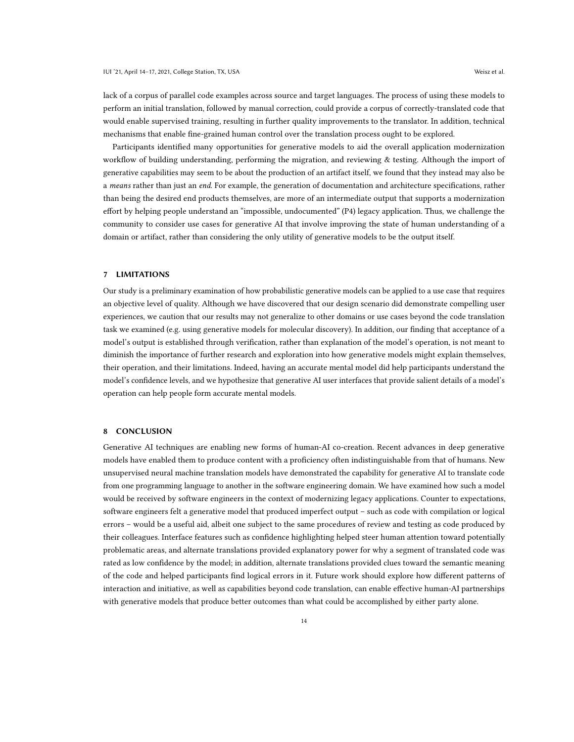lack of a corpus of parallel code examples across source and target languages. The process of using these models to perform an initial translation, followed by manual correction, could provide a corpus of correctly-translated code that would enable supervised training, resulting in further quality improvements to the translator. In addition, technical

Participants identified many opportunities for generative models to aid the overall application modernization workflow of building understanding, performing the migration, and reviewing & testing. Although the import of generative capabilities may seem to be about the production of an artifact itself, we found that they instead may also be a *means* rather than just an *end*. For example, the generation of documentation and architecture specifications, rather than being the desired end products themselves, are more of an intermediate output that supports a modernization effort by helping people understand an "impossible, undocumented" (P4) legacy application. Thus, we challenge the community to consider use cases for generative AI that involve improving the state of human understanding of a domain or artifact, rather than considering the only utility of generative models to be the output itself.

mechanisms that enable fine-grained human control over the translation process ought to be explored.

## 7 LIMITATIONS

Our study is a preliminary examination of how probabilistic generative models can be applied to a use case that requires an objective level of quality. Although we have discovered that our design scenario did demonstrate compelling user experiences, we caution that our results may not generalize to other domains or use cases beyond the code translation task we examined (e.g. using generative models for molecular discovery). In addition, our finding that acceptance of a model's output is established through verification, rather than explanation of the model's operation, is not meant to diminish the importance of further research and exploration into how generative models might explain themselves, their operation, and their limitations. Indeed, having an accurate mental model did help participants understand the model's confidence levels, and we hypothesize that generative AI user interfaces that provide salient details of a model's operation can help people form accurate mental models.

## 8 CONCLUSION

Generative AI techniques are enabling new forms of human-AI co-creation. Recent advances in deep generative models have enabled them to produce content with a proficiency often indistinguishable from that of humans. New unsupervised neural machine translation models have demonstrated the capability for generative AI to translate code from one programming language to another in the software engineering domain. We have examined how such a model would be received by software engineers in the context of modernizing legacy applications. Counter to expectations, software engineers felt a generative model that produced imperfect output – such as code with compilation or logical errors – would be a useful aid, albeit one subject to the same procedures of review and testing as code produced by their colleagues. Interface features such as confidence highlighting helped steer human attention toward potentially problematic areas, and alternate translations provided explanatory power for why a segment of translated code was rated as low confidence by the model; in addition, alternate translations provided clues toward the semantic meaning of the code and helped participants find logical errors in it. Future work should explore how different patterns of interaction and initiative, as well as capabilities beyond code translation, can enable effective human-AI partnerships with generative models that produce better outcomes than what could be accomplished by either party alone.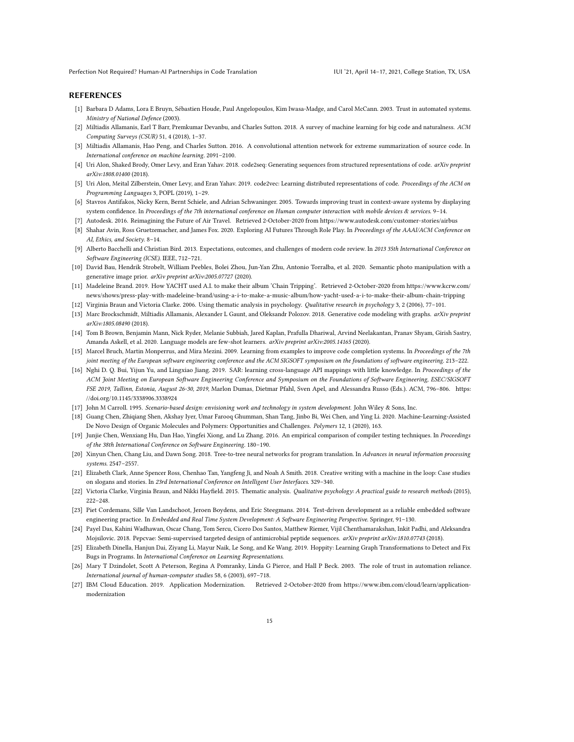Perfection Not Required? Human-AI Partnerships in Code Translation IVI 101 (21, April 14–17, 2021, College Station, TX, USA

#### REFERENCES

- <span id="page-14-23"></span>[1] Barbara D Adams, Lora E Bruyn, Sébastien Houde, Paul Angelopoulos, Kim Iwasa-Madge, and Carol McCann. 2003. Trust in automated systems. Ministry of National Defence (2003).
- <span id="page-14-6"></span>[2] Miltiadis Allamanis, Earl T Barr, Premkumar Devanbu, and Charles Sutton. 2018. A survey of machine learning for big code and naturalness. ACM Computing Surveys (CSUR) 51, 4 (2018), 1–37.
- <span id="page-14-13"></span>[3] Miltiadis Allamanis, Hao Peng, and Charles Sutton. 2016. A convolutional attention network for extreme summarization of source code. In International conference on machine learning. 2091–2100.
- <span id="page-14-16"></span>[4] Uri Alon, Shaked Brody, Omer Levy, and Eran Yahav. 2018. code2seq: Generating sequences from structured representations of code. arXiv preprint arXiv:1808.01400 (2018).
- <span id="page-14-14"></span>[5] Uri Alon, Meital Zilberstein, Omer Levy, and Eran Yahav. 2019. code2vec: Learning distributed representations of code. Proceedings of the ACM on Programming Languages 3, POPL (2019), 1–29.
- <span id="page-14-20"></span>[6] Stavros Antifakos, Nicky Kern, Bernt Schiele, and Adrian Schwaninger. 2005. Towards improving trust in context-aware systems by displaying system confidence. In Proceedings of the 7th international conference on Human computer interaction with mobile devices & services. 9–14.
- <span id="page-14-3"></span>[7] Autodesk. 2016. Reimagining the Future of Air Travel. Retrieved 2-October-2020 from<https://www.autodesk.com/customer-stories/airbus>
- <span id="page-14-22"></span>[8] Shahar Avin, Ross Gruetzemacher, and James Fox. 2020. Exploring AI Futures Through Role Play. In Proceedings of the AAAI/ACM Conference on AI, Ethics, and Society. 8–14.
- <span id="page-14-25"></span>[9] Alberto Bacchelli and Christian Bird. 2013. Expectations, outcomes, and challenges of modern code review. In 2013 35th International Conference on Software Engineering (ICSE). IEEE, 712–721.
- <span id="page-14-0"></span>[10] David Bau, Hendrik Strobelt, William Peebles, Bolei Zhou, Jun-Yan Zhu, Antonio Torralba, et al. 2020. Semantic photo manipulation with a generative image prior. arXiv preprint arXiv:2005.07727 (2020).
- <span id="page-14-1"></span>[11] Madeleine Brand. 2019. How YACHT used A.I. to make their album 'Chain Tripping'. Retrieved 2-October-2020 from [https://www.kcrw.com/](https://www.kcrw.com/news/shows/press-play-with-madeleine-brand/using-a-i-to-make-a-music-album/how-yacht-used-a-i-to-make-their-album-chain-tripping) [news/shows/press-play-with-madeleine-brand/using-a-i-to-make-a-music-album/how-yacht-used-a-i-to-make-their-album-chain-tripping](https://www.kcrw.com/news/shows/press-play-with-madeleine-brand/using-a-i-to-make-a-music-album/how-yacht-used-a-i-to-make-their-album-chain-tripping)
- <span id="page-14-9"></span>[12] Virginia Braun and Victoria Clarke. 2006. Using thematic analysis in psychology. Qualitative research in psychology 3, 2 (2006), 77–101.
- <span id="page-14-18"></span>[13] Marc Brockschmidt, Miltiadis Allamanis, Alexander L Gaunt, and Oleksandr Polozov. 2018. Generative code modeling with graphs. arXiv preprint arXiv:1805.08490 (2018).
- <span id="page-14-17"></span>[14] Tom B Brown, Benjamin Mann, Nick Ryder, Melanie Subbiah, Jared Kaplan, Prafulla Dhariwal, Arvind Neelakantan, Pranav Shyam, Girish Sastry, Amanda Askell, et al. 2020. Language models are few-shot learners. arXiv preprint arXiv:2005.14165 (2020).
- <span id="page-14-11"></span>[15] Marcel Bruch, Martin Monperrus, and Mira Mezini. 2009. Learning from examples to improve code completion systems. In Proceedings of the 7th joint meeting of the European software engineering conference and the ACM SIGSOFT symposium on the foundations of software engineering. 213–222.
- <span id="page-14-12"></span>[16] Nghi D. Q. Bui, Yijun Yu, and Lingxiao Jiang. 2019. SAR: learning cross-language API mappings with little knowledge. In Proceedings of the ACM Joint Meeting on European Software Engineering Conference and Symposium on the Foundations of Software Engineering, ESEC/SIGSOFT FSE 2019, Tallinn, Estonia, August 26-30, 2019, Marlon Dumas, Dietmar Pfahl, Sven Apel, and Alessandra Russo (Eds.). ACM, 796–806. [https:](https://doi.org/10.1145/3338906.3338924) [//doi.org/10.1145/3338906.3338924](https://doi.org/10.1145/3338906.3338924)
- <span id="page-14-21"></span>[17] John M Carroll. 1995. Scenario-based design: envisioning work and technology in system development. John Wiley & Sons, Inc.
- <span id="page-14-4"></span>[18] Guang Chen, Zhiqiang Shen, Akshay Iyer, Umar Farooq Ghumman, Shan Tang, Jinbo Bi, Wei Chen, and Ying Li. 2020. Machine-Learning-Assisted De Novo Design of Organic Molecules and Polymers: Opportunities and Challenges. Polymers 12, 1 (2020), 163.
- <span id="page-14-24"></span>[19] Junjie Chen, Wenxiang Hu, Dan Hao, Yingfei Xiong, and Lu Zhang. 2016. An empirical comparison of compiler testing techniques. In Proceedings of the 38th International Conference on Software Engineering. 180–190.
- <span id="page-14-7"></span>[20] Xinyun Chen, Chang Liu, and Dawn Song. 2018. Tree-to-tree neural networks for program translation. In Advances in neural information processing systems. 2547–2557.
- <span id="page-14-2"></span>[21] Elizabeth Clark, Anne Spencer Ross, Chenhao Tan, Yangfeng Ji, and Noah A Smith. 2018. Creative writing with a machine in the loop: Case studies on slogans and stories. In 23rd International Conference on Intelligent User Interfaces. 329–340.
- <span id="page-14-10"></span>[22] Victoria Clarke, Virginia Braun, and Nikki Hayfield. 2015. Thematic analysis. Qualitative psychology: A practical guide to research methods (2015), 222–248.
- <span id="page-14-26"></span>[23] Piet Cordemans, Sille Van Landschoot, Jeroen Boydens, and Eric Steegmans. 2014. Test-driven development as a reliable embedded software engineering practice. In Embedded and Real Time System Development: A Software Engineering Perspective. Springer, 91–130.
- <span id="page-14-5"></span>[24] Payel Das, Kahini Wadhawan, Oscar Chang, Tom Sercu, Cicero Dos Santos, Matthew Riemer, Vijil Chenthamarakshan, Inkit Padhi, and Aleksandra Mojsilovic. 2018. Pepcvae: Semi-supervised targeted design of antimicrobial peptide sequences. arXiv preprint arXiv:1810.07743 (2018).
- <span id="page-14-15"></span>[25] Elizabeth Dinella, Hanjun Dai, Ziyang Li, Mayur Naik, Le Song, and Ke Wang. 2019. Hoppity: Learning Graph Transformations to Detect and Fix Bugs in Programs. In International Conference on Learning Representations.
- <span id="page-14-19"></span>[26] Mary T Dzindolet, Scott A Peterson, Regina A Pomranky, Linda G Pierce, and Hall P Beck. 2003. The role of trust in automation reliance. International journal of human-computer studies 58, 6 (2003), 697–718.
- <span id="page-14-8"></span>[27] IBM Cloud Education. 2019. Application Modernization. Retrieved 2-October-2020 from [https://www.ibm.com/cloud/learn/application](https://www.ibm.com/cloud/learn/application-modernization)[modernization](https://www.ibm.com/cloud/learn/application-modernization)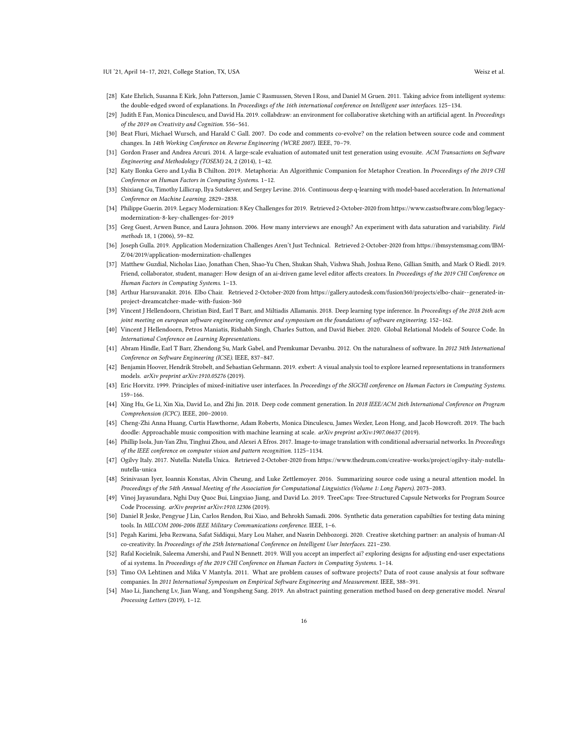- <span id="page-15-16"></span>[28] Kate Ehrlich, Susanna E Kirk, John Patterson, Jamie C Rasmussen, Steven I Ross, and Daniel M Gruen. 2011. Taking advice from intelligent systems: the double-edged sword of explanations. In Proceedings of the 16th international conference on Intelligent user interfaces. 125-134.
- <span id="page-15-17"></span>[29] Judith E Fan, Monica Dinculescu, and David Ha. 2019. collabdraw: an environment for collaborative sketching with an artificial agent. In Proceedings of the 2019 on Creativity and Cognition. 556–561.
- <span id="page-15-21"></span>[30] Beat Fluri, Michael Wursch, and Harald C Gall. 2007. Do code and comments co-evolve? on the relation between source code and comment changes. In 14th Working Conference on Reverse Engineering (WCRE 2007). IEEE, 70-79.
- <span id="page-15-22"></span>[31] Gordon Fraser and Andrea Arcuri. 2014. A large-scale evaluation of automated unit test generation using evosuite. ACM Transactions on Software Engineering and Methodology (TOSEM) 24, 2 (2014), 1–42.
- <span id="page-15-3"></span>[32] Katy Ilonka Gero and Lydia B Chilton. 2019. Metaphoria: An Algorithmic Companion for Metaphor Creation. In Proceedings of the 2019 CHI Conference on Human Factors in Computing Systems. 1–12.
- <span id="page-15-10"></span>[33] Shixiang Gu, Timothy Lillicrap, Ilya Sutskever, and Sergey Levine. 2016. Continuous deep q-learning with model-based acceleration. In International Conference on Machine Learning. 2829–2838.
- <span id="page-15-6"></span>[34] Philippe Guerin. 2019. Legacy Modernization: 8 Key Challenges for 2019. Retrieved 2-October-2020 from [https://www.castsoftware.com/blog/legacy](https://www.castsoftware.com/blog/legacy-modernization-8-key-challenges-for-2019)[modernization-8-key-challenges-for-2019](https://www.castsoftware.com/blog/legacy-modernization-8-key-challenges-for-2019)
- <span id="page-15-20"></span>[35] Greg Guest, Arwen Bunce, and Laura Johnson. 2006. How many interviews are enough? An experiment with data saturation and variability. Field methods 18, 1 (2006), 59–82.
- <span id="page-15-7"></span>[36] Joseph Gulla. 2019. Application Modernization Challenges Aren't Just Technical. Retrieved 2-October-2020 from [https://ibmsystemsmag.com/IBM-](https://ibmsystemsmag.com/IBM-Z/04/2019/application-modernization-challenges)[Z/04/2019/application-modernization-challenges](https://ibmsystemsmag.com/IBM-Z/04/2019/application-modernization-challenges)
- <span id="page-15-19"></span>[37] Matthew Guzdial, Nicholas Liao, Jonathan Chen, Shao-Yu Chen, Shukan Shah, Vishwa Shah, Joshua Reno, Gillian Smith, and Mark O Riedl. 2019. Friend, collaborator, student, manager: How design of an ai-driven game level editor affects creators. In Proceedings of the 2019 CHI Conference on Human Factors in Computing Systems. 1–13.
- <span id="page-15-4"></span>[38] Arthur Harsuvanakit. 2016. Elbo Chair. Retrieved 2-October-2020 from [https://gallery.autodesk.com/fusion360/projects/elbo-chair--generated-in](https://gallery.autodesk.com/fusion360/projects/elbo-chair--generated-in-project-dreamcatcher-made-with-fusion-360)[project-dreamcatcher-made-with-fusion-360](https://gallery.autodesk.com/fusion360/projects/elbo-chair--generated-in-project-dreamcatcher-made-with-fusion-360)
- <span id="page-15-11"></span>[39] Vincent J Hellendoorn, Christian Bird, Earl T Barr, and Miltiadis Allamanis. 2018. Deep learning type inference. In Proceedings of the 2018 26th acm joint meeting on european software engineering conference and symposium on the foundations of software engineering. 152–162.
- <span id="page-15-12"></span>[40] Vincent J Hellendoorn, Petros Maniatis, Rishabh Singh, Charles Sutton, and David Bieber. 2020. Global Relational Models of Source Code. In International Conference on Learning Representations.
- <span id="page-15-8"></span>[41] Abram Hindle, Earl T Barr, Zhendong Su, Mark Gabel, and Premkumar Devanbu. 2012. On the naturalness of software. In 2012 34th International Conference on Software Engineering (ICSE). IEEE, 837–847.
- <span id="page-15-26"></span>[42] Benjamin Hoover, Hendrik Strobelt, and Sebastian Gehrmann. 2019. exbert: A visual analysis tool to explore learned representations in transformers models. arXiv preprint arXiv:1910.05276 (2019).
- <span id="page-15-24"></span>[43] Eric Horvitz. 1999. Principles of mixed-initiative user interfaces. In Proceedings of the SIGCHI conference on Human Factors in Computing Systems. 159–166.
- <span id="page-15-13"></span>[44] Xing Hu, Ge Li, Xin Xia, David Lo, and Zhi Jin. 2018. Deep code comment generation. In 2018 IEEE/ACM 26th International Conference on Program Comprehension (ICPC). IEEE, 200–20010.
- <span id="page-15-2"></span>[45] Cheng-Zhi Anna Huang, Curtis Hawthorne, Adam Roberts, Monica Dinculescu, James Wexler, Leon Hong, and Jacob Howcroft. 2019. The bach doodle: Approachable music composition with machine learning at scale. arXiv preprint arXiv:1907.06637 (2019).
- <span id="page-15-0"></span>[46] Phillip Isola, Jun-Yan Zhu, Tinghui Zhou, and Alexei A Efros. 2017. Image-to-image translation with conditional adversarial networks. In Proceedings of the IEEE conference on computer vision and pattern recognition. 1125–1134.
- <span id="page-15-5"></span>[47] Ogilvy Italy. 2017. Nutella: Nutella Unica. Retrieved 2-October-2020 from [https://www.thedrum.com/creative-works/project/ogilvy-italy-nutella](https://www.thedrum.com/creative-works/project/ogilvy-italy-nutella-nutella-unica)[nutella-unica](https://www.thedrum.com/creative-works/project/ogilvy-italy-nutella-nutella-unica)
- <span id="page-15-14"></span>[48] Srinivasan Iyer, Ioannis Konstas, Alvin Cheung, and Luke Zettlemoyer. 2016. Summarizing source code using a neural attention model. In Proceedings of the 54th Annual Meeting of the Association for Computational Linguistics (Volume 1: Long Papers). 2073–2083.
- <span id="page-15-9"></span>[49] Vinoj Jayasundara, Nghi Duy Quoc Bui, Lingxiao Jiang, and David Lo. 2019. TreeCaps: Tree-Structured Capsule Networks for Program Source Code Processing. arXiv preprint arXiv:1910.12306 (2019).
- <span id="page-15-23"></span>[50] Daniel R Jeske, Pengyue J Lin, Carlos Rendon, Rui Xiao, and Behrokh Samadi. 2006. Synthetic data generation capabilties for testing data mining tools. In MILCOM 2006-2006 IEEE Military Communications conference. IEEE, 1–6.
- <span id="page-15-18"></span>[51] Pegah Karimi, Jeba Rezwana, Safat Siddiqui, Mary Lou Maher, and Nasrin Dehbozorgi. 2020. Creative sketching partner: an analysis of human-AI co-creativity. In Proceedings of the 25th International Conference on Intelligent User Interfaces. 221–230.
- <span id="page-15-15"></span>[52] Rafal Kocielnik, Saleema Amershi, and Paul N Bennett. 2019. Will you accept an imperfect ai? exploring designs for adjusting end-user expectations of ai systems. In Proceedings of the 2019 CHI Conference on Human Factors in Computing Systems. 1–14.
- <span id="page-15-25"></span>[53] Timo OA Lehtinen and Mika V Mantyla. 2011. What are problem causes of software projects? Data of root cause analysis at four software companies. In 2011 International Symposium on Empirical Software Engineering and Measurement. IEEE, 388–391.
- <span id="page-15-1"></span>[54] Mao Li, Jiancheng Lv, Jian Wang, and Yongsheng Sang. 2019. An abstract painting generation method based on deep generative model. Neural Processing Letters (2019), 1–12.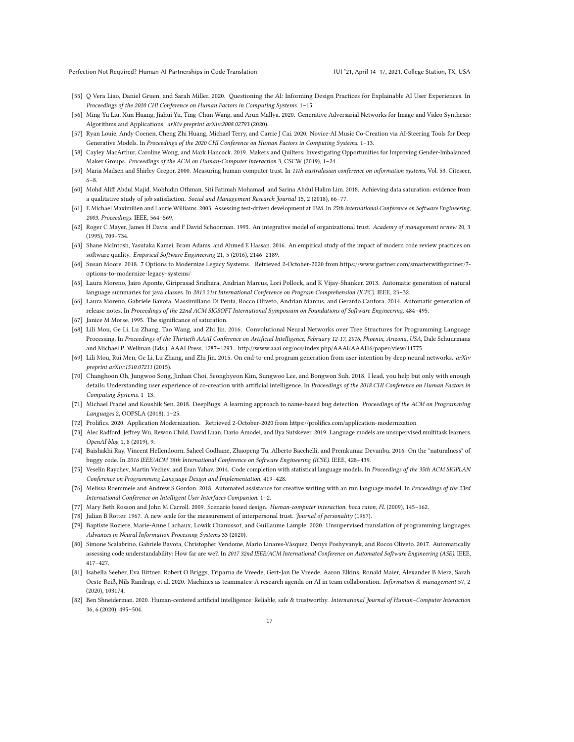Perfection Not Required? Human-AI Partnerships in Code Translation IVI 101 (21, April 14–17, 2021, College Station, TX, USA

- <span id="page-16-18"></span>[55] Q Vera Liao, Daniel Gruen, and Sarah Miller. 2020. Questioning the AI: Informing Design Practices for Explainable AI User Experiences. In Proceedings of the 2020 CHI Conference on Human Factors in Computing Systems. 1–15.
- <span id="page-16-0"></span>[56] Ming-Yu Liu, Xun Huang, Jiahui Yu, Ting-Chun Wang, and Arun Mallya. 2020. Generative Adversarial Networks for Image and Video Synthesis: Algorithms and Applications. arXiv preprint arXiv:2008.02793 (2020).
- <span id="page-16-1"></span>[57] Ryan Louie, Andy Coenen, Cheng Zhi Huang, Michael Terry, and Carrie J Cai. 2020. Novice-AI Music Co-Creation via AI-Steering Tools for Deep Generative Models. In Proceedings of the 2020 CHI Conference on Human Factors in Computing Systems. 1–13.
- <span id="page-16-19"></span>[58] Cayley MacArthur, Caroline Wong, and Mark Hancock. 2019. Makers and Quilters: Investigating Opportunities for Improving Gender-Imbalanced Maker Groups. Proceedings of the ACM on Human-Computer Interaction 3, CSCW (2019), 1–24.
- <span id="page-16-24"></span>[59] Maria Madsen and Shirley Gregor. 2000. Measuring human-computer trust. In 11th australasian conference on information systems, Vol. 53. Citeseer, 6–8.
- <span id="page-16-21"></span>[60] Mohd Aliff Abdul Majid, Mohhidin Othman, Siti Fatimah Mohamad, and Sarina Abdul Halim Lim. 2018. Achieving data saturation: evidence from a qualitative study of job satisfaction. Social and Management Research Journal 15, 2 (2018), 66–77.
- <span id="page-16-27"></span>[61] E Michael Maximilien and Laurie Williams. 2003. Assessing test-driven development at IBM. In 25th International Conference on Software Engineering, 2003. Proceedings. IEEE, 564–569.
- <span id="page-16-23"></span>[62] Roger C Mayer, James H Davis, and F David Schoorman. 1995. An integrative model of organizational trust. Academy of management review 20, 3 (1995), 709–734.
- <span id="page-16-26"></span>[63] Shane McIntosh, Yasutaka Kamei, Bram Adams, and Ahmed E Hassan. 2016. An empirical study of the impact of modern code review practices on software quality. Empirical Software Engineering 21, 5 (2016), 2146–2189.
- <span id="page-16-4"></span>[64] Susan Moore. 2018. 7 Options to Modernize Legacy Systems. Retrieved 2-October-2020 from [https://www.gartner.com/smarterwithgartner/7](https://www.gartner.com/smarterwithgartner/7-options-to-modernize-legacy-systems/) [options-to-modernize-legacy-systems/](https://www.gartner.com/smarterwithgartner/7-options-to-modernize-legacy-systems/)
- <span id="page-16-10"></span>[65] Laura Moreno, Jairo Aponte, Giriprasad Sridhara, Andrian Marcus, Lori Pollock, and K Vijay-Shanker. 2013. Automatic generation of natural language summaries for java classes. In 2013 21st International Conference on Program Comprehension (ICPC). IEEE, 23–32.
- <span id="page-16-12"></span>[66] Laura Moreno, Gabriele Bavota, Massimiliano Di Penta, Rocco Oliveto, Andrian Marcus, and Gerardo Canfora. 2014. Automatic generation of release notes. In Proceedings of the 22nd ACM SIGSOFT International Symposium on Foundations of Software Engineering. 484–495.
- <span id="page-16-20"></span>[67] Janice M Morse. 1995. The significance of saturation.
- <span id="page-16-7"></span>[68] Lili Mou, Ge Li, Lu Zhang, Tao Wang, and Zhi Jin. 2016. Convolutional Neural Networks over Tree Structures for Programming Language Processing. In Proceedings of the Thirtieth AAAI Conference on Artificial Intelligence, February 12-17, 2016, Phoenix, Arizona, USA, Dale Schuurmans and Michael P. Wellman (Eds.). AAAI Press, 1287–1293.<http://www.aaai.org/ocs/index.php/AAAI/AAAI16/paper/view/11775>
- <span id="page-16-16"></span>[69] Lili Mou, Rui Men, Ge Li, Lu Zhang, and Zhi Jin. 2015. On end-to-end program generation from user intention by deep neural networks. arXiv preprint arXiv:1510.07211 (2015).
- <span id="page-16-15"></span>[70] Changhoon Oh, Jungwoo Song, Jinhan Choi, Seonghyeon Kim, Sungwoo Lee, and Bongwon Suh. 2018. I lead, you help but only with enough details: Understanding user experience of co-creation with artificial intelligence. In Proceedings of the 2018 CHI Conference on Human Factors in Computing Systems. 1–13.
- <span id="page-16-8"></span>[71] Michael Pradel and Koushik Sen. 2018. DeepBugs: A learning approach to name-based bug detection. Proceedings of the ACM on Programming Languages 2, OOPSLA (2018), 1–25.
- <span id="page-16-5"></span>[72] Prolifics. 2020. Application Modernization. Retrieved 2-October-2020 from<https://prolifics.com/application-modernization>
- <span id="page-16-13"></span>[73] Alec Radford, Jeffrey Wu, Rewon Child, David Luan, Dario Amodei, and Ilya Sutskever. 2019. Language models are unsupervised multitask learners. OpenAI blog 1, 8 (2019), 9.
- <span id="page-16-9"></span>[74] Baishakhi Ray, Vincent Hellendoorn, Saheel Godhane, Zhaopeng Tu, Alberto Bacchelli, and Premkumar Devanbu. 2016. On the "naturalness" of buggy code. In 2016 IEEE/ACM 38th International Conference on Software Engineering (ICSE). IEEE, 428–439.
- <span id="page-16-6"></span>[75] Veselin Raychev, Martin Vechev, and Eran Yahav. 2014. Code completion with statistical language models. In Proceedings of the 35th ACM SIGPLAN Conference on Programming Language Design and Implementation. 419–428.
- <span id="page-16-2"></span>[76] Melissa Roemmele and Andrew S Gordon. 2018. Automated assistance for creative writing with an rnn language model. In Proceedings of the 23rd International Conference on Intelligent User Interfaces Companion. 1–2.
- <span id="page-16-17"></span>[77] Mary Beth Rosson and John M Carroll. 2009. Scenario based design. Human-computer interaction. boca raton, FL (2009), 145–162.
- <span id="page-16-22"></span><span id="page-16-3"></span>[78] Julian B Rotter. 1967. A new scale for the measurement of interpersonal trust. Journal of personality (1967).
- [79] Baptiste Roziere, Marie-Anne Lachaux, Lowik Chanussot, and Guillaume Lample. 2020. Unsupervised translation of programming languages. Advances in Neural Information Processing Systems 33 (2020).
- <span id="page-16-11"></span>[80] Simone Scalabrino, Gabriele Bavota, Christopher Vendome, Mario Linares-Vásquez, Denys Poshyvanyk, and Rocco Oliveto. 2017. Automatically assessing code understandability: How far are we?. In 2017 32nd IEEE/ACM International Conference on Automated Software Engineering (ASE). IEEE, 417–427.
- <span id="page-16-14"></span>[81] Isabella Seeber, Eva Bittner, Robert O Briggs, Triparna de Vreede, Gert-Jan De Vreede, Aaron Elkins, Ronald Maier, Alexander B Merz, Sarah Oeste-Reiß, Nils Randrup, et al. 2020. Machines as teammates: A research agenda on AI in team collaboration. Information & management 57, 2 (2020), 103174.
- <span id="page-16-25"></span>[82] Ben Shneiderman. 2020. Human-centered artificial intelligence: Reliable, safe & trustworthy. International Journal of Human-Computer Interaction 36, 6 (2020), 495–504.